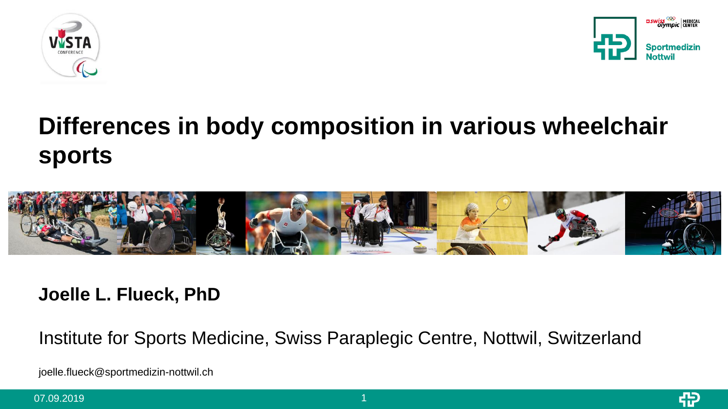



# **Differences in body composition in various wheelchair sports**



#### **Joelle L. Flueck, PhD**

Institute for Sports Medicine, Swiss Paraplegic Centre, Nottwil, Switzerland

joelle.flueck@sportmedizin-nottwil.ch

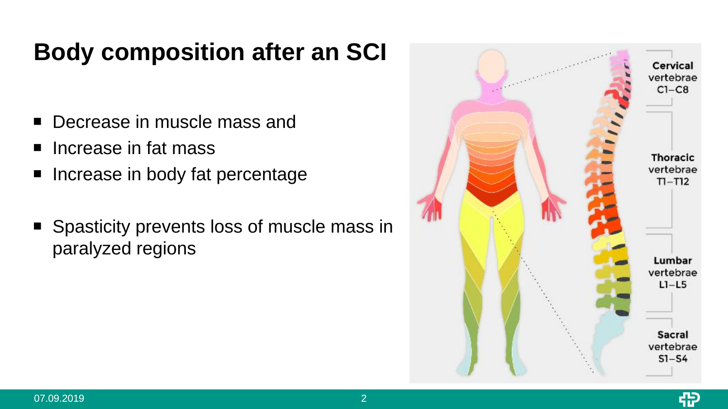# **Body composition after an SCI**

- Decrease in muscle mass and
- Increase in fat mass
- Increase in body fat percentage
- **Spasticity prevents loss of muscle mass in** paralyzed regions

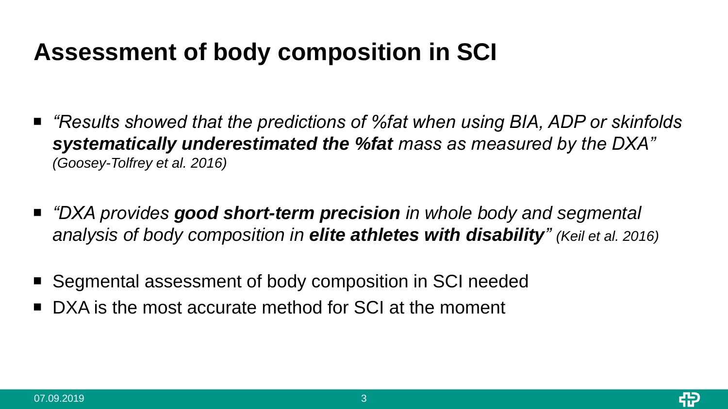# **Assessment of body composition in SCI**

- "Results showed that the predictions of %fat when using BIA, ADP or skinfolds *systematically underestimated the %fat mass as measured by the DXA" (Goosey-Tolfrey et al. 2016)*
- *"DXA provides good short-term precision in whole body and segmental analysis of body composition in elite athletes with disability" (Keil et al. 2016)*
- Segmental assessment of body composition in SCI needed
- DXA is the most accurate method for SCI at the moment

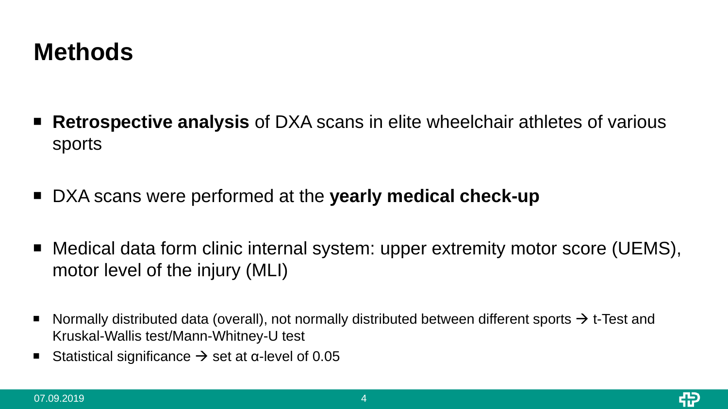#### **Methods**

- **Retrospective analysis** of DXA scans in elite wheelchair athletes of various sports
- DXA scans were performed at the **yearly medical check-up**
- Medical data form clinic internal system: upper extremity motor score (UEMS), motor level of the injury (MLI)
- Normally distributed data (overall), not normally distributed between different sports  $\rightarrow$  t-Test and Kruskal-Wallis test/Mann-Whitney-U test
- Statistical significance  $\rightarrow$  set at α-level of 0.05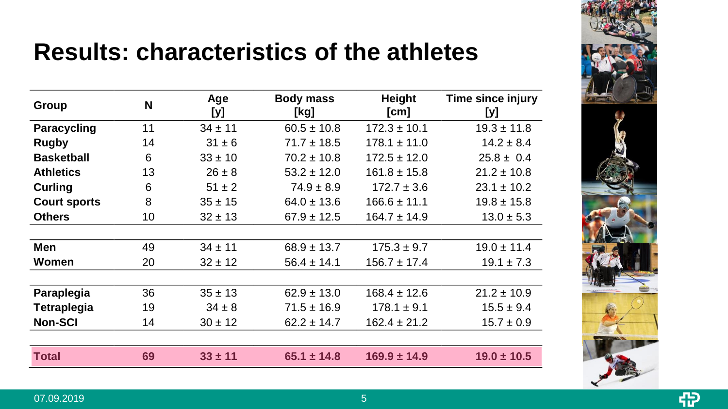

49

## **Results: characteristics of the athletes**

| Group               | N  | Age<br>[y]  | <b>Body mass</b><br>[kg] | Height<br>[cm]   | Time since injury<br>[y] |
|---------------------|----|-------------|--------------------------|------------------|--------------------------|
| <b>Paracycling</b>  | 11 | $34 \pm 11$ | $60.5 \pm 10.8$          | $172.3 \pm 10.1$ | $19.3 \pm 11.8$          |
| <b>Rugby</b>        | 14 | $31 \pm 6$  | $71.7 \pm 18.5$          | $178.1 \pm 11.0$ | $14.2 \pm 8.4$           |
| <b>Basketball</b>   | 6  | $33 \pm 10$ | $70.2 \pm 10.8$          | $172.5 \pm 12.0$ | $25.8 \pm 0.4$           |
| <b>Athletics</b>    | 13 | $26 \pm 8$  | $53.2 \pm 12.0$          | $161.8 \pm 15.8$ | $21.2 \pm 10.8$          |
| <b>Curling</b>      | 6  | $51 \pm 2$  | $74.9 \pm 8.9$           | $172.7 \pm 3.6$  | $23.1 \pm 10.2$          |
| <b>Court sports</b> | 8  | $35 \pm 15$ | $64.0 \pm 13.6$          | $166.6 \pm 11.1$ | $19.8 \pm 15.8$          |
| <b>Others</b>       | 10 | $32 \pm 13$ | $67.9 \pm 12.5$          | $164.7 \pm 14.9$ | $13.0 \pm 5.3$           |
|                     |    |             |                          |                  |                          |
| <b>Men</b>          | 49 | $34 \pm 11$ | $68.9 \pm 13.7$          | $175.3 \pm 9.7$  | $19.0 \pm 11.4$          |
| Women               | 20 | $32 \pm 12$ | $56.4 \pm 14.1$          | $156.7 \pm 17.4$ | $19.1 \pm 7.3$           |
| Paraplegia          | 36 | $35 \pm 13$ | $62.9 \pm 13.0$          | $168.4 \pm 12.6$ | $21.2 \pm 10.9$          |
| <b>Tetraplegia</b>  | 19 | $34 \pm 8$  | $71.5 \pm 16.9$          | $178.1 \pm 9.1$  | $15.5 \pm 9.4$           |
| <b>Non-SCI</b>      | 14 | $30 \pm 12$ | $62.2 \pm 14.7$          | $162.4 \pm 21.2$ | $15.7 \pm 0.9$           |
|                     |    |             |                          |                  |                          |
| Total               | 69 | $33 \pm 11$ | $65.1 \pm 14.8$          | $169.9 \pm 14.9$ | $19.0 \pm 10.5$          |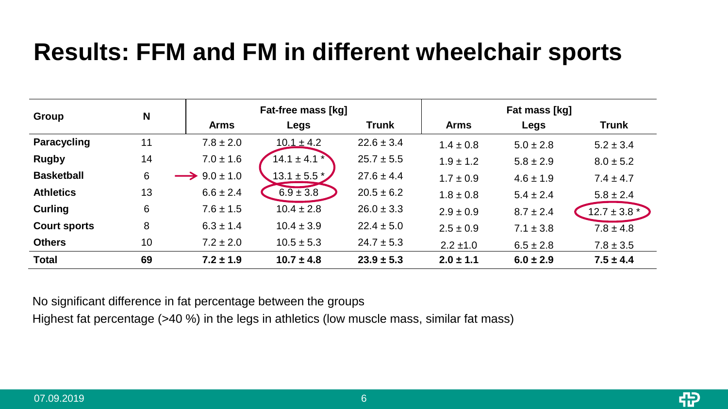## **Results: FFM and FM in different wheelchair sports**

| Group               | N  |                         | Fat-free mass [kg] |                | Fat mass [kg] |               |                  |  |
|---------------------|----|-------------------------|--------------------|----------------|---------------|---------------|------------------|--|
|                     |    | <b>Arms</b>             | Legs               | <b>Trunk</b>   | <b>Arms</b>   | Legs          | <b>Trunk</b>     |  |
| Paracycling         | 11 | $7.8 \pm 2.0$           | $10.1 \pm 4.2$     | $22.6 \pm 3.4$ | $1.4 \pm 0.8$ | $5.0 \pm 2.8$ | $5.2 \pm 3.4$    |  |
| <b>Rugby</b>        | 14 | $7.0 \pm 1.6$           | $14.1 \pm 4.1$ *   | $25.7 \pm 5.5$ | $1.9 \pm 1.2$ | $5.8 \pm 2.9$ | $8.0 \pm 5.2$    |  |
| <b>Basketball</b>   | 6  | $\rightarrow$ 9.0 ± 1.0 | $13.1 \pm 5.5$ $*$ | $27.6 \pm 4.4$ | $1.7 \pm 0.9$ | $4.6 \pm 1.9$ | $7.4 \pm 4.7$    |  |
| <b>Athletics</b>    | 13 | $6.6 \pm 2.4$           | $6.9 \pm 3.8$      | $20.5 \pm 6.2$ | $1.8 \pm 0.8$ | $5.4 \pm 2.4$ | $5.8 \pm 2.4$    |  |
| Curling             | 6  | $7.6 \pm 1.5$           | $10.4 \pm 2.8$     | $26.0 \pm 3.3$ | $2.9 \pm 0.9$ | $8.7 \pm 2.4$ | $12.7 \pm 3.8$ * |  |
| <b>Court sports</b> | 8  | $6.3 \pm 1.4$           | $10.4 \pm 3.9$     | $22.4 \pm 5.0$ | $2.5 \pm 0.9$ | $7.1 \pm 3.8$ | $7.8 \pm 4.8$    |  |
| <b>Others</b>       | 10 | $7.2 \pm 2.0$           | $10.5 \pm 5.3$     | $24.7 \pm 5.3$ | $2.2 \pm 1.0$ | $6.5 \pm 2.8$ | $7.8 \pm 3.5$    |  |
| <b>Total</b>        | 69 | $7.2 \pm 1.9$           | $10.7 \pm 4.8$     | $23.9 \pm 5.3$ | $2.0 \pm 1.1$ | $6.0 \pm 2.9$ | $7.5 \pm 4.4$    |  |

No significant difference in fat percentage between the groups

Highest fat percentage (>40 %) in the legs in athletics (low muscle mass, similar fat mass)

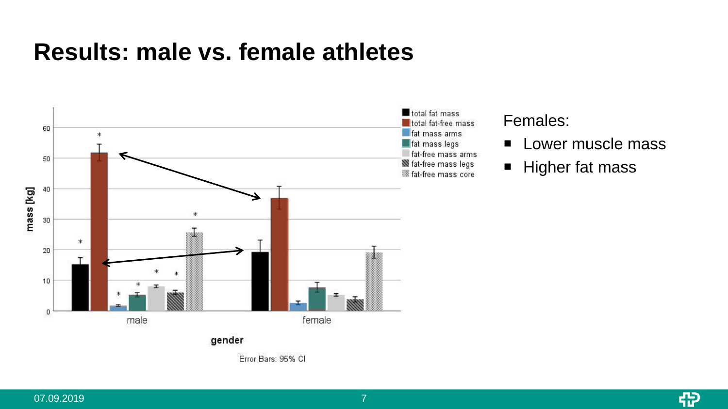#### **Results: male vs. female athletes**



total fat-free mass fat-free mass arms **Set fat-free mass legs** 

#### Females:

- **Lower muscle mass**
- Higher fat mass

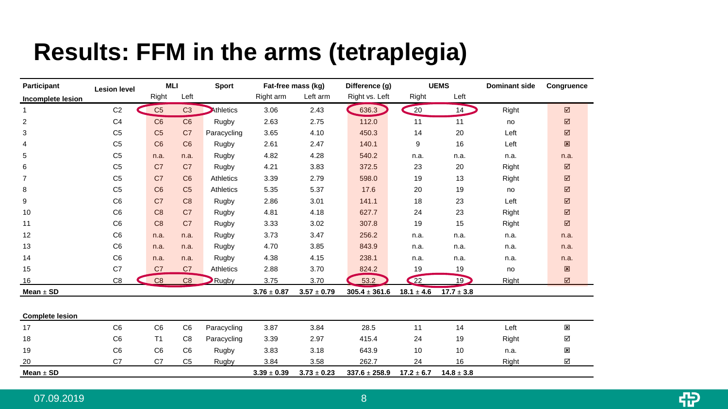## **Results: FFM in the arms (tetraplegia)**

| Participant              | <b>Lesion level</b> | <b>MLI</b>     |                | Sport       | Fat-free mass (kg) |                 | Difference (g)    | <b>UEMS</b>    |                 | <b>Dominant side</b> | Congruence     |
|--------------------------|---------------------|----------------|----------------|-------------|--------------------|-----------------|-------------------|----------------|-----------------|----------------------|----------------|
| <b>Incomplete lesion</b> |                     | Right          | Left           |             | Right arm          | Left arm        | Right vs. Left    | Right          | Left            |                      |                |
| 1                        | C <sub>2</sub>      | C <sub>5</sub> | C <sub>3</sub> | Athletics   | 3.06               | 2.43            | 636.3             | 20             | 14 <sup>2</sup> | Right                | ☑              |
| $\overline{2}$           | C <sub>4</sub>      | C6             | C6             | Rugby       | 2.63               | 2.75            | 112.0             | 11             | 11              | no                   | ☑              |
| 3                        | C <sub>5</sub>      | C <sub>5</sub> | C <sub>7</sub> | Paracycling | 3.65               | 4.10            | 450.3             | 14             | 20              | Left                 | ☑              |
| $\overline{4}$           | C <sub>5</sub>      | C <sub>6</sub> | C <sub>6</sub> | Rugby       | 2.61               | 2.47            | 140.1             | 9              | 16              | Left                 | 図              |
| 5                        | C <sub>5</sub>      | n.a.           | n.a.           | Rugby       | 4.82               | 4.28            | 540.2             | n.a.           | n.a.            | n.a.                 | n.a.           |
| 6                        | C <sub>5</sub>      | C <sub>7</sub> | C <sub>7</sub> | Rugby       | 4.21               | 3.83            | 372.5             | 23             | 20              | Right                | $\boxtimes$    |
| $\overline{7}$           | C <sub>5</sub>      | C <sub>7</sub> | C6             | Athletics   | 3.39               | 2.79            | 598.0             | 19             | 13              | Right                | ☑              |
| 8                        | C <sub>5</sub>      | C6             | C <sub>5</sub> | Athletics   | 5.35               | 5.37            | 17.6              | 20             | 19              | no                   | ☑              |
| 9                        | C <sub>6</sub>      | C <sub>7</sub> | C <sub>8</sub> | Rugby       | 2.86               | 3.01            | 141.1             | 18             | 23              | Left                 | ☑              |
| 10                       | C <sub>6</sub>      | C8             | C <sub>7</sub> | Rugby       | 4.81               | 4.18            | 627.7             | 24             | 23              | Right                | $\boxtimes$    |
| 11                       | C <sub>6</sub>      | C <sub>8</sub> | C <sub>7</sub> | Rugby       | 3.33               | 3.02            | 307.8             | 19             | 15              | Right                | $\boxtimes$    |
| 12                       | C <sub>6</sub>      | n.a.           | n.a.           | Rugby       | 3.73               | 3.47            | 256.2             | n.a.           | n.a.            | n.a.                 | n.a.           |
| 13                       | C <sub>6</sub>      | n.a.           | n.a.           | Rugby       | 4.70               | 3.85            | 843.9             | n.a.           | n.a.            | n.a.                 | n.a.           |
| 14                       | C <sub>6</sub>      | n.a.           | n.a.           | Rugby       | 4.38               | 4.15            | 238.1             | n.a.           | n.a.            | n.a.                 | n.a.           |
| 15                       | C7                  | C <sub>7</sub> | C <sub>7</sub> | Athletics   | 2.88               | 3.70            | 824.2             | 19             | 19              | no                   | 図              |
| 16                       | C <sub>8</sub>      | C8             | C <sub>8</sub> | Rugby       | 3.75               | 3.70            | 53.2              | $\bigcirc$     | 19 <sup>2</sup> | Right                | ☑              |
| Mean $\pm$ SD            |                     |                |                |             | $3.76 \pm 0.87$    | $3.57 \pm 0.79$ | $305.4 \pm 361.6$ | $18.1 \pm 4.6$ | $17.7 \pm 3.8$  |                      |                |
|                          |                     |                |                |             |                    |                 |                   |                |                 |                      |                |
| <b>Complete lesion</b>   |                     |                |                |             |                    |                 |                   |                |                 |                      |                |
| 17                       | C <sub>6</sub>      | C <sub>6</sub> | C <sub>6</sub> | Paracycling | 3.87               | 3.84            | 28.5              | 11             | 14              | Left                 | ×              |
| 18                       | C <sub>6</sub>      | T <sub>1</sub> | C <sub>8</sub> | Paracycling | 3.39               | 2.97            | 415.4             | 24             | 19              | Right                | ☑              |
| 19                       | C <sub>6</sub>      | C <sub>6</sub> | C <sub>6</sub> | Rugby       | 3.83               | 3.18            | 643.9             | 10             | 10              | n.a.                 | $\pmb{\times}$ |
| 20                       | C7                  | C7             | C <sub>5</sub> | Rugby       | 3.84               | 3.58            | 262.7             | 24             | 16              | Right                | ☑              |
| Mean $\pm$ SD            |                     |                |                |             | $3.39 \pm 0.39$    | $3.73 \pm 0.23$ | $337.6 \pm 258.9$ | $17.2 \pm 6.7$ | $14.8 \pm 3.8$  |                      |                |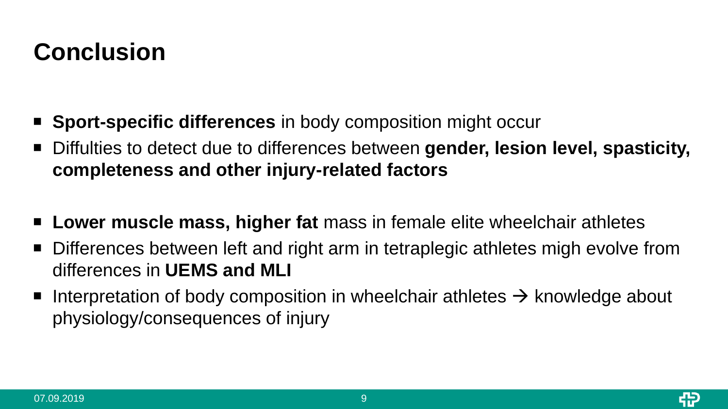# **Conclusion**

- **Sport-specific differences** in body composition might occur
- Diffulties to detect due to differences between **gender, lesion level, spasticity, completeness and other injury-related factors**
- **Lower muscle mass, higher fat** mass in female elite wheelchair athletes
- Differences between left and right arm in tetraplegic athletes migh evolve from differences in **UEMS and MLI**
- Interpretation of body composition in wheelchair athletes  $\rightarrow$  knowledge about physiology/consequences of injury